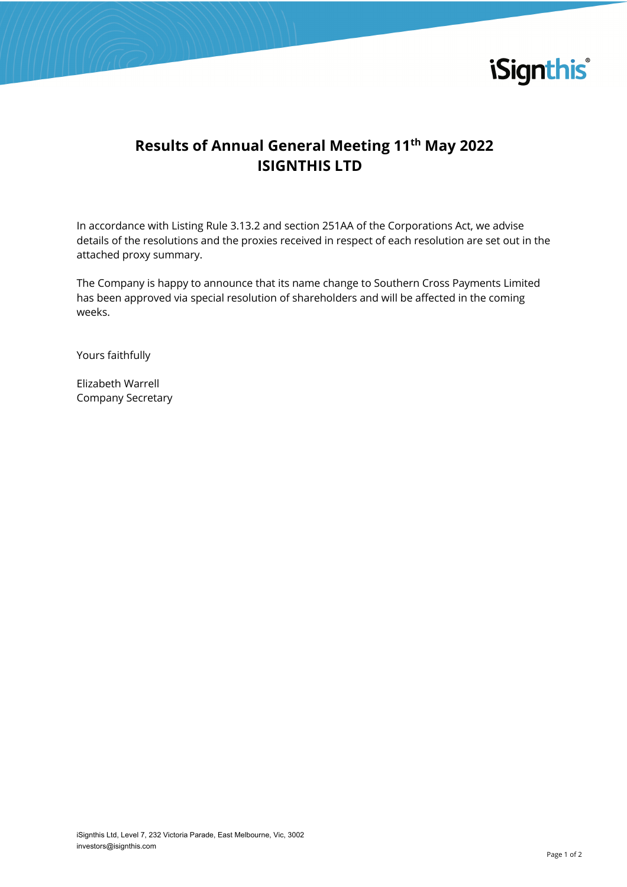

## **Results of Annual General Meeting 11th May 2022 ISIGNTHIS LTD**

In accordance with Listing Rule 3.13.2 and section 251AA of the Corporations Act, we advise details of the resolutions and the proxies received in respect of each resolution are set out in the attached proxy summary.

The Company is happy to announce that its name change to Southern Cross Payments Limited has been approved via special resolution of shareholders and will be affected in the coming weeks.

Yours faithfully

Elizabeth Warrell Company Secretary